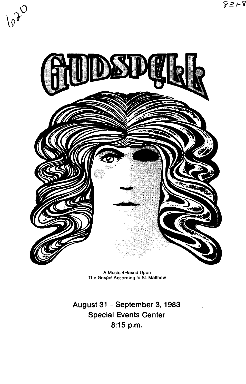

A Musical Based Upon The Gospel According to St. Matthew

**August 31 -September 3, 1983 Special Events Center 8:15p.m.**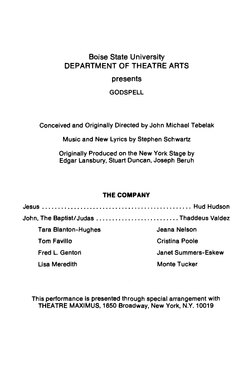# Boise State University DEPARTMENT OF THEATRE ARTS

# presents

**GODSPELL** 

Conceived and Originally Directed by John Michael Tebelak

Music and New Lyrics by Stephen Schwartz

Originally Produced on the New York Stage by Edgar Lansbury, Stuart Duncan, Joseph Beruh

# **THE COMPANY**

Jesus ............................................... Hud Hudson John, The Baptist/Judas ............................Thaddeus Valdez Tara Blanton-Hughes Tom Favlllo Fred L. Gentori Lisa Meredith Jeana Nelson Cristina Poole Janet Summers-Eskew Monte Tucker

This performance is presented through special arrangement with THEATRE MAXIMUS, 1650 Broadway, New York, N.Y. 10019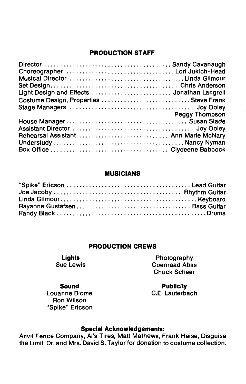### **PRODUCTION STAFF**

| Choreographer Lori Jukich-Head              |                       |
|---------------------------------------------|-----------------------|
| Musical Director Linda Gilmour              |                       |
|                                             |                       |
| Light Design and Effects  Jonathan Langrell |                       |
| Costume Design, Properties  Steve Frank     |                       |
|                                             |                       |
|                                             | <b>Peggy Thompson</b> |
|                                             |                       |
|                                             |                       |
| Rehearsal Assistant  Ann Marie McNary       |                       |
|                                             |                       |
|                                             |                       |
|                                             |                       |

#### **MUSICIANS**

| Rayanne GustafsenBass Guitar |  |
|------------------------------|--|
|                              |  |

#### **PRODUCTION CREWS**

**Lights**  Sue Lewis

Photography Coenraad Abas Chuck Scheer

**Publicity**  C.E. Lauterbach

#### **Sound**  Louanna Blome Ron Wilson "Spike" Ericson

# **Special Acknowledgements:**

Anvil Fence Company, Al's Tires, Matt Mathews, Frank Heise, Disguise the Limit, Dr. and Mrs. David S. Taylor for donation to costume collection.